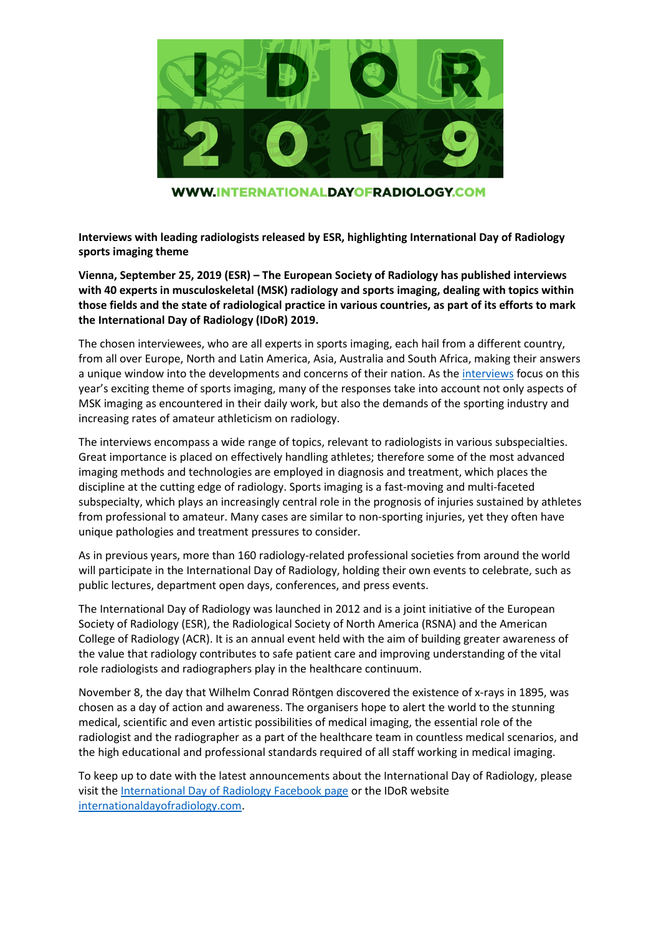

**WWW.INTERNATIONALDAYOFRADIOLOGY.COM** 

**Interviews with leading radiologists released by ESR, highlighting International Day of Radiology sports imaging theme** 

**Vienna, September 25, 2019 (ESR) – The European Society of Radiology has published interviews with 40 experts in musculoskeletal (MSK) radiology and sports imaging, dealing with topics within those fields and the state of radiological practice in various countries, as part of its efforts to mark the International Day of Radiology (IDoR) 2019.**

The chosen interviewees, who are all experts in sports imaging, each hail from a different country, from all over Europe, North and Latin America, Asia, Australia and South Africa, making their answers a unique window into the developments and concerns of their nation. As the [interviews](https://www.internationaldayofradiology.com/expert-interviews/) focus on this year's exciting theme of sports imaging, many of the responses take into account not only aspects of MSK imaging as encountered in their daily work, but also the demands of the sporting industry and increasing rates of amateur athleticism on radiology.

The interviews encompass a wide range of topics, relevant to radiologists in various subspecialties. Great importance is placed on effectively handling athletes; therefore some of the most advanced imaging methods and technologies are employed in diagnosis and treatment, which places the discipline at the cutting edge of radiology. Sports imaging is a fast-moving and multi-faceted subspecialty, which plays an increasingly central role in the prognosis of injuries sustained by athletes from professional to amateur. Many cases are similar to non-sporting injuries, yet they often have unique pathologies and treatment pressures to consider.

As in previous years, more than 160 radiology-related professional societies from around the world will participate in the International Day of Radiology, holding their own events to celebrate, such as public lectures, department open days, conferences, and press events.

The International Day of Radiology was launched in 2012 and is a joint initiative of the European Society of Radiology (ESR), the Radiological Society of North America (RSNA) and the American College of Radiology (ACR). It is an annual event held with the aim of building greater awareness of the value that radiology contributes to safe patient care and improving understanding of the vital role radiologists and radiographers play in the healthcare continuum.

November 8, the day that Wilhelm Conrad Röntgen discovered the existence of x-rays in 1895, was chosen as a day of action and awareness. The organisers hope to alert the world to the stunning medical, scientific and even artistic possibilities of medical imaging, the essential role of the radiologist and the radiographer as a part of the healthcare team in countless medical scenarios, and the high educational and professional standards required of all staff working in medical imaging.

To keep up to date with the latest announcements about the International Day of Radiology, please visit the [International Day of Radiology Facebook page](https://www.facebook.com/internationaldayofradiology/) or the IDoR website [internationaldayofradiology.com.](https://www.internationaldayofradiology.com/)